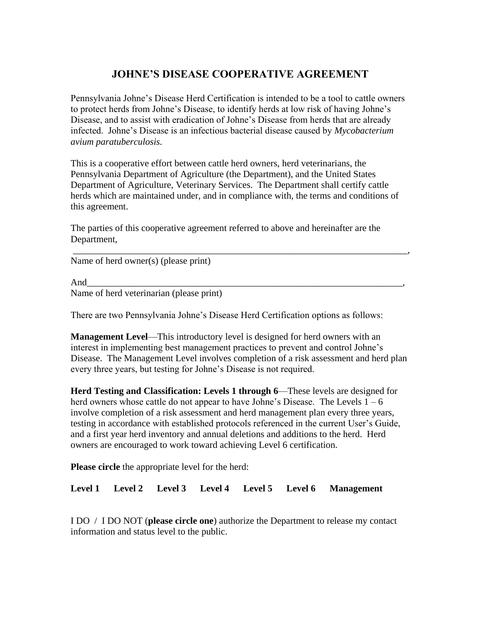## **JOHNE'S DISEASE COOPERATIVE AGREEMENT**

Pennsylvania Johne's Disease Herd Certification is intended to be a tool to cattle owners to protect herds from Johne's Disease, to identify herds at low risk of having Johne's Disease, and to assist with eradication of Johne's Disease from herds that are already infected. Johne's Disease is an infectious bacterial disease caused by *Mycobacterium avium paratuberculosis.*

This is a cooperative effort between cattle herd owners, herd veterinarians, the Pennsylvania Department of Agriculture (the Department), and the United States Department of Agriculture, Veterinary Services. The Department shall certify cattle herds which are maintained under, and in compliance with, the terms and conditions of this agreement.

The parties of this cooperative agreement referred to above and hereinafter are the Department,

\_\_\_\_\_\_\_\_\_\_\_\_\_\_\_\_\_\_\_\_\_\_\_\_\_\_\_\_\_\_\_\_\_\_\_\_\_\_\_\_\_\_\_\_\_\_\_\_\_\_\_\_\_\_\_\_\_\_\_\_\_\_\_\_\_\_\_\_\_\_\_,

Name of herd owner(s) (please print)

And\_\_\_\_\_\_\_\_\_\_\_\_\_\_\_\_\_\_\_\_\_\_\_\_\_\_\_\_\_\_\_\_\_\_\_\_\_\_\_\_\_\_\_\_\_\_\_\_\_\_\_\_\_\_\_\_\_\_\_\_\_\_\_\_\_\_\_, Name of herd veterinarian (please print)

There are two Pennsylvania Johne's Disease Herd Certification options as follows:

**Management Level**—This introductory level is designed for herd owners with an interest in implementing best management practices to prevent and control Johne's Disease. The Management Level involves completion of a risk assessment and herd plan every three years, but testing for Johne's Disease is not required.

**Herd Testing and Classification: Levels 1 through 6**—These levels are designed for herd owners whose cattle do not appear to have Johne's Disease. The Levels  $1 - 6$ involve completion of a risk assessment and herd management plan every three years, testing in accordance with established protocols referenced in the current User's Guide, and a first year herd inventory and annual deletions and additions to the herd. Herd owners are encouraged to work toward achieving Level 6 certification.

**Please circle** the appropriate level for the herd:

**Level 1 Level 2 Level 3 Level 4 Level 5 Level 6 Management**

I DO / I DO NOT (**please circle one**) authorize the Department to release my contact information and status level to the public.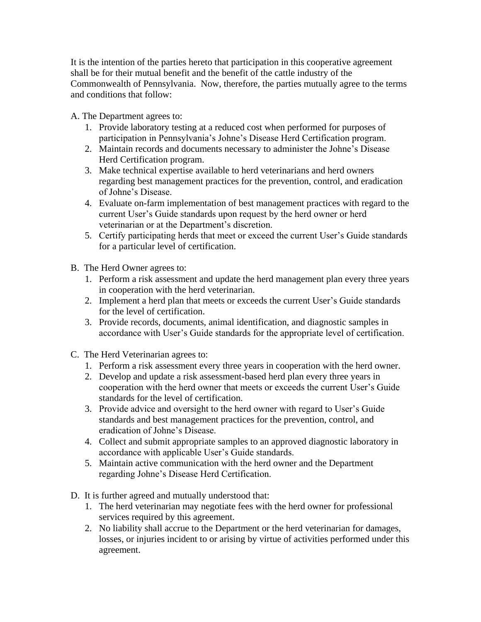It is the intention of the parties hereto that participation in this cooperative agreement shall be for their mutual benefit and the benefit of the cattle industry of the Commonwealth of Pennsylvania. Now, therefore, the parties mutually agree to the terms and conditions that follow:

A. The Department agrees to:

- 1. Provide laboratory testing at a reduced cost when performed for purposes of participation in Pennsylvania's Johne's Disease Herd Certification program.
- 2. Maintain records and documents necessary to administer the Johne's Disease Herd Certification program.
- 3. Make technical expertise available to herd veterinarians and herd owners regarding best management practices for the prevention, control, and eradication of Johne's Disease.
- 4. Evaluate on-farm implementation of best management practices with regard to the current User's Guide standards upon request by the herd owner or herd veterinarian or at the Department's discretion.
- 5. Certify participating herds that meet or exceed the current User's Guide standards for a particular level of certification.
- B. The Herd Owner agrees to:
	- 1. Perform a risk assessment and update the herd management plan every three years in cooperation with the herd veterinarian.
	- 2. Implement a herd plan that meets or exceeds the current User's Guide standards for the level of certification.
	- 3. Provide records, documents, animal identification, and diagnostic samples in accordance with User's Guide standards for the appropriate level of certification.
- C. The Herd Veterinarian agrees to:
	- 1. Perform a risk assessment every three years in cooperation with the herd owner.
	- 2. Develop and update a risk assessment-based herd plan every three years in cooperation with the herd owner that meets or exceeds the current User's Guide standards for the level of certification.
	- 3. Provide advice and oversight to the herd owner with regard to User's Guide standards and best management practices for the prevention, control, and eradication of Johne's Disease.
	- 4. Collect and submit appropriate samples to an approved diagnostic laboratory in accordance with applicable User's Guide standards.
	- 5. Maintain active communication with the herd owner and the Department regarding Johne's Disease Herd Certification.
- D. It is further agreed and mutually understood that:
	- 1. The herd veterinarian may negotiate fees with the herd owner for professional services required by this agreement.
	- 2. No liability shall accrue to the Department or the herd veterinarian for damages, losses, or injuries incident to or arising by virtue of activities performed under this agreement.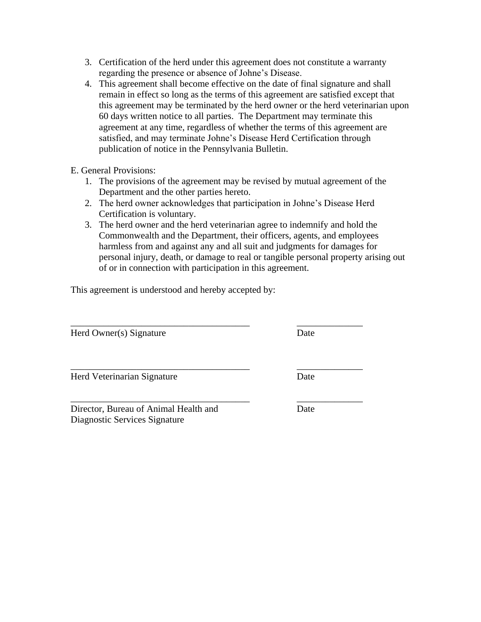- 3. Certification of the herd under this agreement does not constitute a warranty regarding the presence or absence of Johne's Disease.
- 4. This agreement shall become effective on the date of final signature and shall remain in effect so long as the terms of this agreement are satisfied except that this agreement may be terminated by the herd owner or the herd veterinarian upon 60 days written notice to all parties. The Department may terminate this agreement at any time, regardless of whether the terms of this agreement are satisfied, and may terminate Johne's Disease Herd Certification through publication of notice in the Pennsylvania Bulletin.
- E. General Provisions:
	- 1. The provisions of the agreement may be revised by mutual agreement of the Department and the other parties hereto.
	- 2. The herd owner acknowledges that participation in Johne's Disease Herd Certification is voluntary.

\_\_\_\_\_\_\_\_\_\_\_\_\_\_\_\_\_\_\_\_\_\_\_\_\_\_\_\_\_\_\_\_\_\_\_\_\_\_ \_\_\_\_\_\_\_\_\_\_\_\_\_\_

3. The herd owner and the herd veterinarian agree to indemnify and hold the Commonwealth and the Department, their officers, agents, and employees harmless from and against any and all suit and judgments for damages for personal injury, death, or damage to real or tangible personal property arising out of or in connection with participation in this agreement.

This agreement is understood and hereby accepted by:

Herd Owner(s) Signature Date

Herd Veterinarian Signature **Date** 

Director, Bureau of Animal Health and Date Diagnostic Services Signature

\_\_\_\_\_\_\_\_\_\_\_\_\_\_\_\_\_\_\_\_\_\_\_\_\_\_\_\_\_\_\_\_\_\_\_\_\_\_ \_\_\_\_\_\_\_\_\_\_\_\_\_\_

\_\_\_\_\_\_\_\_\_\_\_\_\_\_\_\_\_\_\_\_\_\_\_\_\_\_\_\_\_\_\_\_\_\_\_\_\_\_ \_\_\_\_\_\_\_\_\_\_\_\_\_\_